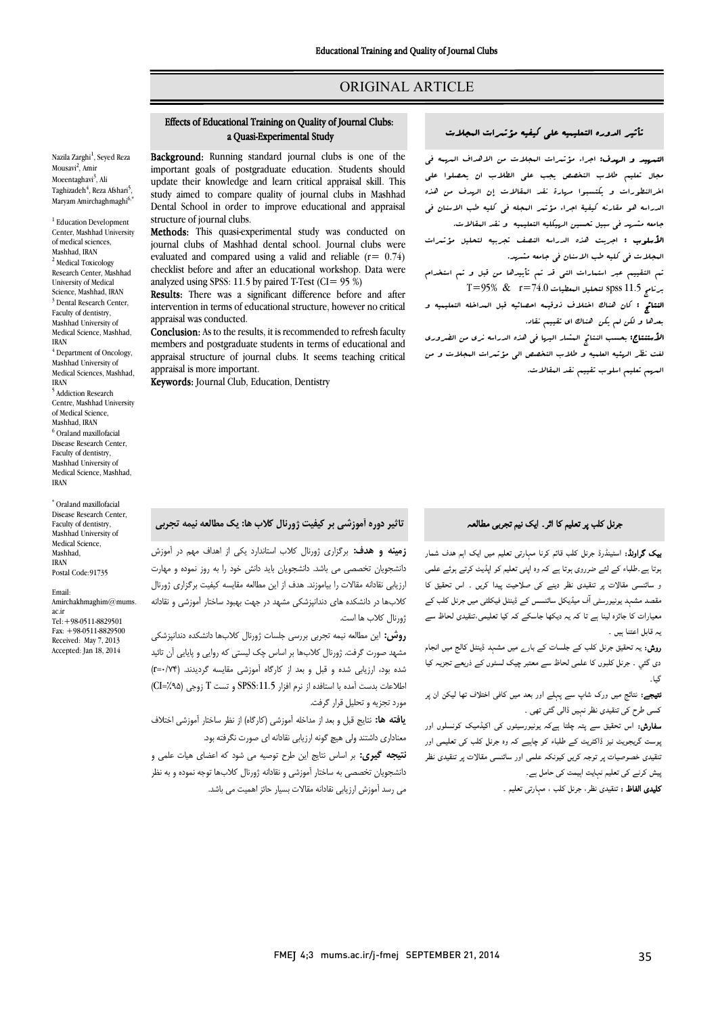# ORIGINAL ARTICLE

#### المجلات مؤتمرات کیفیه علی التعلیمیه الدوره تأثیر Effects of Educational Training on Quality of Journal Clubs: Effects of Educational Training on Quality of Journal Clubs: a Quasi-Experimental Study

Ī  $\overline{a}$ 

Nazila Zarghi<sup>1</sup>, Seyed Reza Mousavi<sup>2</sup>, Amir Moeentaghavi<sup>3</sup>, Ali Taghizadeh<sup>4</sup>, Reza Afshari<sup>5</sup>, Maryam Amirchaghmaghi<sup>6</sup>

<sup>1</sup> Education Development Center, Mashhad University of medical sciences, Mashhad, IRAN <sup>2</sup> Medical Toxicology Research Center, Mashhad University of Medical Science, Mashhad, IRAN <sup>3</sup> Dental Research Center. Faculty of dentistry, Mashhad University of Medical Science, Mashhad, IRAN  $4$  Department of Oncology, Mashhad University of Medical Sciences, Mashhad, IRAN <sup>5</sup> Addiction Research Centre, Mashhad University of Medical Science, Mashhad, IRAN <sup>6</sup> Oraland maxillofacial Disease Research Center, Faculty of dentistry, Mashhad University of Medical Science, Mashhad, IRAN

\* Oraland maxillofacial Disease Research Center, Faculty of dentistry, Mashhad University of Medical Science, Mashhad, IRAN Postal Code:91735

Email: Amirchakhmaghim@mums. ac.ir Tel:+98-0511-8829501  $F_{2X}$ :  $+98.0511.8829500$ Received: May 7, 2013 Accepted: Jan 18, 2014

**Background:** Running standard journal clubs is one of the **Example 10** in the main standard point at this is one of the important goals of postgraduate education. Students should update their knowledge and learn critical appraisal skill. This study aimed to compare quality of journal clubs in Mashhad Dental School in order to improve educational and appraisal structure of journal clubs.

 Methods: This quasi-experimental study was conducted on evaluated and compared using a valid and reliable (r= 0.74) checklist before and after an educational workshop. Data were analyzed using SPSS: 11.5 by paired T-Test (CI= 95 %) journal clubs of Mashhad dental school. Journal clubs were

 intervention in terms of educational structure, however no critical Results: There was a significant difference before and after appraisal was conducted.

appraisal was conducted.<br>**Conclusion:** As to the results, it is recommended to refresh faculty members and postgraduate students in terms of educational and appraisal structure of journal clubs. It seems teaching critical appraisal is more important.

appraisal is more important.<br>**Keywords:** Journal Club, Education, Dentistry

Ī  $\overline{a}$ 

ا<mark>لتم*هید* و ال*هد*ف:</mark> اجراء مؤتىرات البجلات من الاهداف الى*رى*مە ف<sub>ى</sub> مجال تعلیم طلاب التخصص یجب علی الطلاب ان یحصلوا علی الراستورات کا پیشنبوا کردی کند استان می کامل می کند.<br>الدراسه هو مقارنه کیفیۀ اجراء مؤتمر البجله فی کلیه طب الاسنان فی جامعه مشهد فی سبیل تحسین الهیکلیه التعلیمیه و نقد المقالات. اخرالنطورات و یکتسبوا مهارة نقد المقالات إن الهدف من هذه

.<br>**الأسلوب :** اجریت هذه الدراسه ال*نصف تجرب*یه لتحلیل مؤتبرات المجلات فی کلیه طب الاسنان فی جامعه مشهد.

 تم التقییم عبر استمارات التی قد تم تأییدها من قبل و تم استخدام  $\sim$  11.5 جرنامج 11.5 spss لتحلیل البعطیات 14.0 $^{-1}$   $\ll$  95%

 النتائج : کان هناك اختلاف ذوقیمه احصائیه قبل المداخله التعلیمیه و بعدها و لکن لم یکن هناك اي تقییم نقاد.

ا**لأستنتاج:** بحسب النتائج المشار الیها فی هذه الدراسه نری من الضروری لغت نظر الهئیه العلمیه و طلاب التخصص الی مؤتمرات المجلات و من المهم تعلیم اسلوب تقییم نقد المقالات.

# $\overline{a}$ جرنل کلب پر تعلیم کا اثر ۔ ایک نیم تجرب*ی* مطالعہ<br>۔

**یک گراونڈ:** اسٹینڈرڈ جرنل کلب قائم کرنا مہارتی تعلیم میں ایک اہم ہدف شمار ۔<br>بوتا ہے۔طلباء کے لئے ضرروی ہوتا ہے کہ وہ اپنی تعلیم کو اپڈیٹ کرتے ہوئے علمی و سائنسی مقالات پر تنقیدی نظر دینے کی صلاحیت پیدا کریں ۔ اس تحقیق کا مقصد مشہد یونیورسٹی آف میڈیکل سائنسس کے ڈینٹل فیکلٹی میں جرنل کلب کے معیارات کا جائزہ لینا ہے تا کہ یہ دیکھا جاسکے کہ کیا تعلیمی،تنقیدی لحاظ سے<br>. یہ قابل اعتنا ہیں ۔

**روش:** یہ تحقیق جرنل کلب کے جلسات کے بار<sub>ے</sub> میں مشہد ڈینٹل کالج میں انجام<br>میں میں میں ایک سے ایک ایران دی گئي ۔ جرنل کلبوں کا علمی لحاظ سے معتبر چیک لسٹوں کے ذریعے تجزیہ کیا ۔<br>﴾ ا گیا۔

**نتیجے:** نتائج میں ورک شاپ سے پہلے اور بعد میں کافی اختلاف تھا لیکن ان پر کسی طرح کی تنقیدی نظر نہیں ڈالی گئی تھی ۔

**سفارش:** اس تحقیق سے پتہ چلتا ہےکہ یونیورسیٹوں کی اکیڈمیک کونسلوں اور <sub>ب</sub>وست گریجویٹ نیز ڈاکٹریٹ کے طلباء کو چاہیے کہ وہ جرنل کلب کی تعلیمی اور ننقیدی خصوصیات پر توجہ کریں کیونکہ علمی اور سائنسی مقالات پر تنقیدی نظر<br>. یش کرنے کی تعلیم نہایت اہیمت کی حامل ہے۔<br>۔

**کلیدی الفاظ :** تنقیدی نظر، جرنل کلب ، مہارتی تعلیم ۔<br>-

 $\overline{a}$ تاثیر دوره آموزشی بر کیفیت ژورنال کلاب ها: یک مطالعه نیمه تجربی

 زمینه و هدف: برگزاري ژورنال کلاب استاندارد یکی از اهداف مهم در آموزش دانشجویان تخصصی می باشد. دانشجویان باید دانش خود را به روز نموده و مهارت ارزیابی نقادانه مقالات را بیاموزند. هدف از این مطالعه مقایسه کیفیت برگزاري ژورنال کلابها در دانشکده هاي دندانپزشکی مشهد در جهت بهبود ساختار آموزشی و نقادانه ژورنال کلاب ها است.

 روش: این مطالعه نیمه تجربی بررسی جلسات ژورنال کلابها دانشکده دندانپزشکی مشهد صورت گرفت. ژورنال کلابها بر اساس چک لیستی که روایی و پایایی آن تائید شده بود، ارزیابی شده و قبل و بعد از کارگاه آموزشی مقایسه گردیدند. (0/74=r ( اطلاعات بدست آمده با استافده از نرم افزار :11.5SPSS و تست T زوجی (%95=CI ( مورد تجزیه و تحلیل قرار گرفت.

 یافته ها: نتایج قبل و بعد از مداخله آموزشی (کارگاه) از نظر ساختار آموزشی اختلاف معناداري داشتند ولی هیچ گونه ارزیابی نقادانه اي صورت نگرفته بود.

ن**تیجه گیری:** بر اساس نتایج این طرح توصیه می شود که اعضای هیات علمی و<br>. دانشجویان تخصصی به ساختار آموزشی و نقادانه ژورنال کلابها توجه نموده و به نظر<br>-می رسد آموزش ارزیابی نقادانه مقالات بسیار حائز اهمیت می باشد.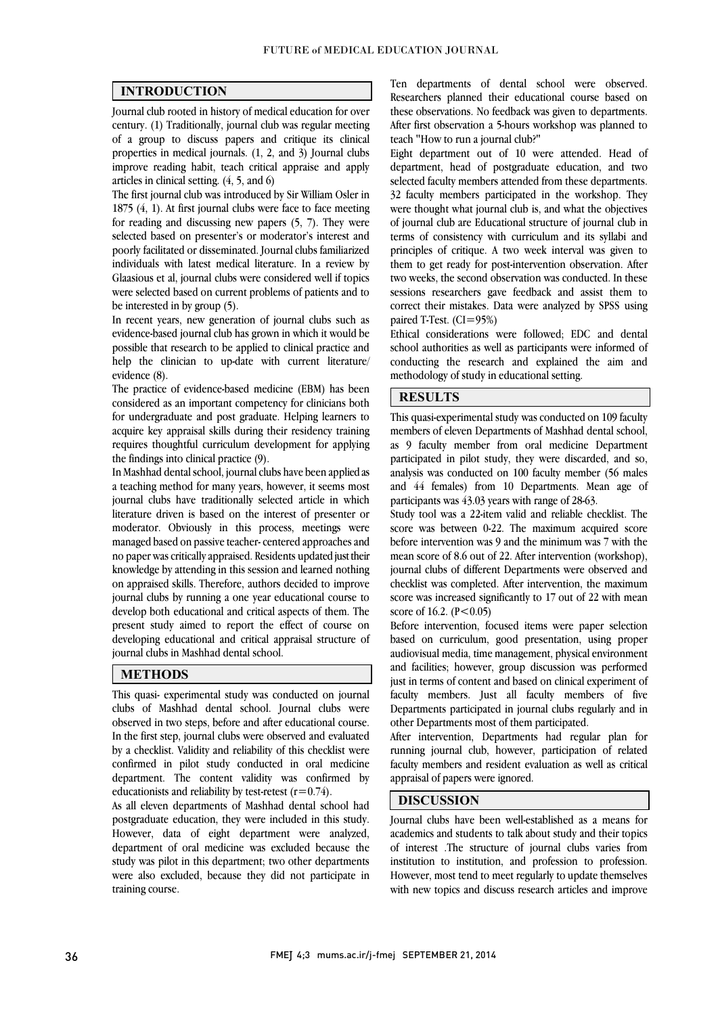$\overline{a}$  $\overline{a}$ 

## INTRODUCTION

 Journal club rooted in history of medical education for over century. (1) Traditionally, journal club was regular meeting properties in medical journals.  $(1, 2, \text{ and } 3)$  Journal clubs improve reading habit, teach critical appraise and apply of a group to discuss papers and critique its clinical articles in clinical setting. (4, 5, and 6)

The first journal club was introduced by Sir William Osler in for reading and discussing new papers  $(5, 7)$ . They were selected based on presenter's or moderator's interest and poorly facilitated or disseminated. Journal clubs familiarized individuals with latest medical literature. In a review by were selected based on current problems of patients and to 1875 (4, 1). At first journal clubs were face to face meeting Glaasious et al, journal clubs were considered well if topics be interested in by group (5).

 In recent years, new generation of journal clubs such as evidence-based journal club has grown in which it would be help the clinician to up-date with current literature/ possible that research to be applied to clinical practice and evidence (8).

 The practice of evidence-based medicine (EBM) has been for undergraduate and post graduate. Helping learners to acquire key appraisal skills during their residency training requires thoughtful curriculum development for applying considered as an important competency for clinicians both the findings into clinical practice (9).

 a teaching method for many years, however, it seems most journal clubs have traditionally selected article in which literature driven is based on the interest of presenter or moderator. Obviously in this process, meetings were nanaged based on passive teacher-centered approaches and<br>no paper was critically appraised. Residents updated just their knowledge by attending in this session and learned nothing on appraised skills. Therefore, authors decided to improve journal clubs by running a one year educational course to present study aimed to report the effect of course on developing educational and critical appraisal structure of In Mashhad dental school, journal clubs have been applied as managed based on passive teacher-centered approaches and develop both educational and critical aspects of them. The journal clubs in Mashhad dental school.

#### METHODS

 This quasi- experimental study was conducted on journal clubs of Mashhad dental school. Journal clubs were observed in two steps, before and after educational course. by a checklist. Validity and reliability of this checklist were confirmed in pilot study conducted in oral medicine department. The content validity was confirmed by In the first step, journal clubs were observed and evaluated educationists and reliability by test-retest  $(r=0.74)$ .

 postgraduate education, they were included in this study. However, data of eight department were analyzed, department of oral medicine was excluded because the study was pilot in this department; two other departments were also excluded, because they did not participate in<br>training course As all eleven departments of Mashhad dental school had training course.

 Researchers planned their educational course based on these observations. No feedback was given to departments. After first observation a 5-hours workshop was planned to Ten departments of dental school were observed. teach "How to run a journal club?"

 Eight department out of 10 were attended. Head of department, head of postgraduate education, and two selected faculty members attended from these departments. 32 faculty members participated in the workshop. They of journal club are Educational structure of journal club in terms of consistency with curriculum and its syllabi and principles of critique. A two week interval was given to them to get ready for post-intervention observation. After<br>two weeks, the second observation was conducted. In these sessions researchers gave feedback and assist them to correct their mistakes. Data were analyzed by SPSS using were thought what journal club is, and what the objectives them to get ready for post-intervention observation. After paired T-Test.  $(CI=95%)$ 

 school authorities as well as participants were informed of conducting the research and explained the aim and Ethical considerations were followed; EDC and dental methodology of study in educational setting.

٦

٦

# **RESULTS**

 This quasi-experimental study was conducted on 109 faculty members of eleven Departments of Mashhad dental school, as 9 faculty member from oral medicine Department participated in pilot study, they were discarded, and so, and 44 females) from 10 Departments. Mean age of analysis was conducted on 100 faculty member (56 males participants was 43.03 years with range of 28-63.

 Study tool was a 22-item valid and reliable checklist. The score was between 0-22. The maximum acquired score mean score of 8.6 out of 22. After intervention (workshop), journal clubs of different Departments were observed and checklist was completed. After intervention, the maximum score was increased significantly to 17 out of 22 with mean before intervention was 9 and the minimum was 7 with the score of 16.2.  $(P<0.05)$ 

Before intervention, focused items were paper selection based on curriculum, good presentation, using proper audiovisual media, time management, physical environment just in terms of content and based on clinical experiment of faculty members. Just all faculty members of five Departments participated in journal clubs regularly and in and facilities; however, group discussion was performed other Departments most of them participated.

 running journal club, however, participation of related faculty members and resident evaluation as well as critical After intervention, Departments had regular plan for appraisal of papers were ignored.

## DISCUSSION

 Journal clubs have been well-established as a means for academics and students to talk about study and their topics of interest .The structure of journal clubs varies from institution to institution, and profession to profession. with new topics and discuss research articles and improve However, most tend to meet regularly to update themselves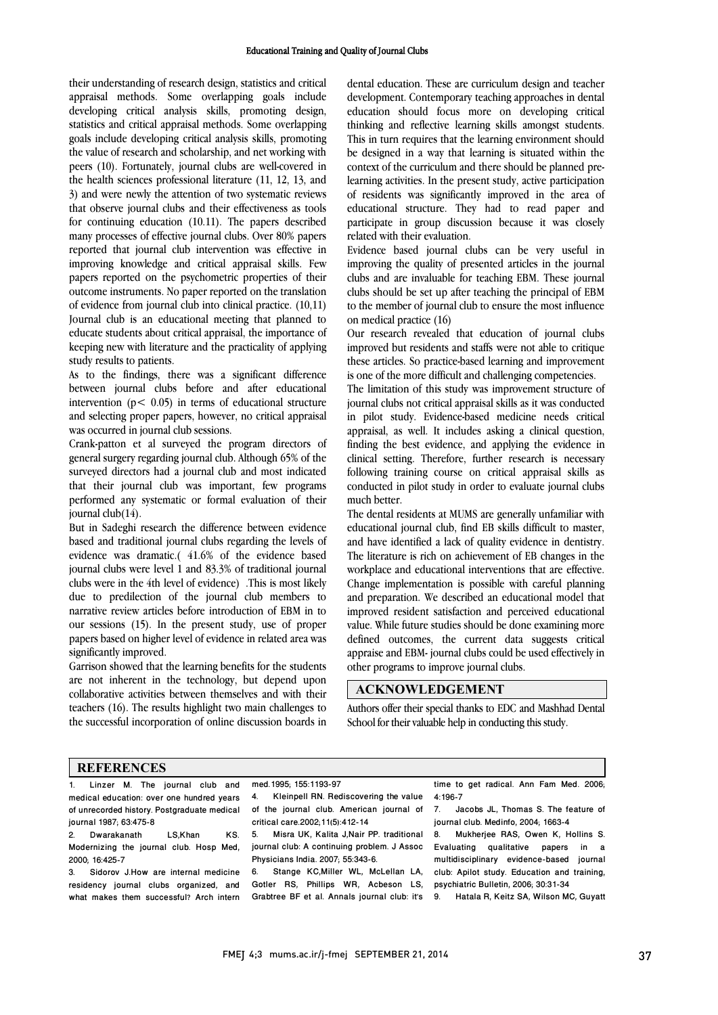their understanding of research design, statistics and critical appraisal methods. Some overlapping goals include developing critical analysis skills, promoting design, statistics and critical appraisal methods. Some overlapping the value of research and scholarship, and net working with peers (10). Fortunately, journal clubs are well-covered in the health sciences professional literature (11, 12, 13, and 5) and were newly the attention of two systematic reviews<br>that observe journal clubs and their effectiveness as tools for continuing education (10.11). The papers described many processes of effective journal clubs. Over 80% papers reported that journal club intervention was effective in miproving knowiedge and cruical appraisal skills. Few<br>papers reported on the psychometric properties of their outcome instruments. No paper reported on the translation of evidence from journal club into clinical practice. (10,11) Journal club is an educational meeting that planned to U<br>keeping new with literature and the practicality of applying<br>study results to patients. goals include developing critical analysis skills, promoting 3) and were newly the attention of two systematic reviews improving knowledge and critical appraisal skills. Few educate students about critical appraisal, the importance of study results to patients.

 As to the findings, there was a significant difference between journal clubs before and after educational and selecting proper papers, however, no critical appraisal intervention ( $p < 0.05$ ) in terms of educational structure was occurred in journal club sessions.

 Crank-patton et al surveyed the program directors of general surgery regarding journal club. Although 65% of the that their journal club was important, few programs performed any systematic or formal evaluation of their surveyed directors had a journal club and most indicated journal club(14).

 But in Sadeghi research the difference between evidence evidence was dramatic.( 41.6% of the evidence based journal clubs were level  $1$  and 83.3% of traditional journal clubs were in the 4th level of evidence) .This is most likely due to predilection of the journal club members to our sessions (15). In the present study, use of proper papers based on higher level of evidence in related area was based and traditional journal clubs regarding the levels of narrative review articles before introduction of EBM in to significantly improved.

 are not inherent in the technology, but depend upon collaborative activities between themselves and with their teachers (16). The results highlight two main challenges to the successful incorporation of online discussion boards in Garrison showed that the learning benefits for the students

 dental education. These are curriculum design and teacher development. Contemporary teaching approaches in dental education should focus more on developing critical thinking and reflective learning skills amongst students. be designed in a way that learning is situated within the learning activities. In the present study, active participation or residents was significantly improved in the area of<br>educational structure. They had to read paper and participate in group discussion because it was closely This in turn requires that the learning environment should context of the curriculum and there should be planned preof residents was significantly improved in the area of related with their evaluation.

 Evidence based journal clubs can be very useful in Improving the quanty of presented articles in the journal<br>clubs and are invaluable for teaching EBM. These journal clubs should be set up after teaching the principal of EBM to the member of journal club to ensure the most influence improving the quality of presented articles in the journal on medical practice (16)

 improved but residents and staffs were not able to critique these articles. So practice-based learning and improvement Our research revealed that education of journal clubs is one of the more difficult and challenging competencies.

 The limitation of this study was improvement structure of in pilot study. Evidence-based medicine needs critical appraisal, as well. It includes asking a clinical question, finding the best evidence, and applying the evidence in clinical setting. Therefore, further research is necessary conducted in pilot study in order to evaluate journal clubs journal clubs not critical appraisal skills as it was conducted following training course on critical appraisal skills as much better.

 The dental residents at MUMS are generally unfamiliar with equeational journal club, find EB skills difficult to master,<br>and have identified a lack of quality evidence in dentistry. The literature is rich on achievement of EB changes in the workplace and educational interventions that are effective. Change implementation is possible with careful planning and preparation. we described an educational moder that<br>improved resident satisfaction and perceived educational value. While future studies should be done examining more defined outcomes, the current data suggests critical appraise and EBM- journal clubs could be used effectively in  $\overline{a}$ educational journal club, find EB skills difficult to master, and preparation. We described an educational model that other programs to improve journal clubs.

#### ACKNOWLEDGEMENT

 Authors offer their special thanks to EDC and Mashhad Dental School for their valuable help in conducting this study.

#### **REFERENCES**

- 1. Linzer M. The journal club and medical education: over one hundred years of unrecorded history. Postgraduate medical
- journal 1987; 63:475-8 Dwarakanath LS,Khan KS. Modernizing the journal club. Hosp Med, 2000; 16:425-7

3. Sidorov J.How are internal medicine residency journal clubs organized, and what makes them successful? Arch intern med.1995; 155:1193-97

 4. Kleinpell RN. Rediscovering the value of the journal club. American journal of critical care.2002;11(5):412-14

i<br>I

 5. Misra UK, Kalita J,Nair PP. traditional journal club: A continuing problem. J Assoc Physicians India. 2007; 55:343-6.

 6. Stange KC,Miller WL, McLellan LA, Gotler RS, Phillips WR, Acbeson LS, Grabtree BF et al. Annals journal club: it's

 time to get radical. Ann Fam Med. 2006; 1:196-7<br>ما. 7

7. Jacobs JL, Thomas S. The feature of journal club. Medinfo, 2004; 1663-4

 8. Mukherjee RAS, Owen K, Hollins S. Evaluating qualitative papers in a club: Apilot study. Education and training, multidisciplinary evidence-based journal psychiatric Bulletin, 2006; 30:31-34

9. Hatala R, Keitz SA, Wilson MC, Guyatt

j

l